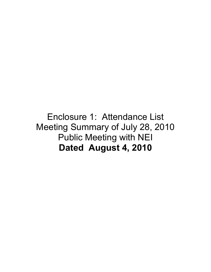## Enclosure 1: Attendance List Meeting Summary of July 28, 2010 Public Meeting with NEI **Dated August 4, 2010**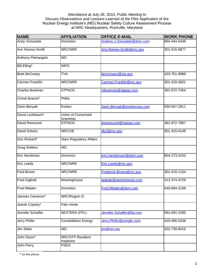## Attendance at July 28, 2010, Public Meeting to Discuss Observations and Lessons Learned of the Pilot Application of the Nuclear Energy Institute's (NEI) Nuclear Safety Culture Assessment Process at NRC Headquarters, Rockville, Maryland

| <b>NAME</b>            | <b>AFFILIATION</b>                      | <b>OFFICE E-MAIL</b>        | <b>WORK PHONE</b> |
|------------------------|-----------------------------------------|-----------------------------|-------------------|
| <b>Andy Vomastek</b>   | Dominion                                | Andrew.J.Vomastek@dom.com   | 860-444-5449      |
| Ann Ramey-Smith        | NRC/NRR                                 | Ann.Ramey-Smith@nrc.gov     | 301-415-6877      |
| Anthony Pietrangelo    | <b>NEI</b>                              |                             |                   |
| Bill Elling*           | <b>INPO</b>                             |                             |                   |
| <b>Brett McCreary</b>  | <b>TVA</b>                              | bjmccreary@tva.gov          | 423-751-8989      |
| <b>Carmen Franklin</b> | NRC/NRR                                 | Carmen.Franklin@nrc.gov     | 301-415-5601      |
| <b>Charles Bowman</b>  | <b>STPNOC</b>                           | ctbowman@stpegs.com         | 361-972-7454      |
| Christi Branch*        | <b>PNNL</b>                             |                             |                   |
| Darin Benyak           | Exelon                                  | Darin.Benyak@exeloncorp.com | 630-657-2811      |
| David Lockbaum*        | Union of Concerned<br><b>Scientists</b> |                             |                   |
| <b>David Rencurrel</b> | <b>STPNOC</b>                           | dwrencurrel@stpegs.com      | 361-972-7867      |
| David Solorio          | NRC/OE                                  | dls2@nrc.gov                | 301-415-0149      |
| Don Rickard*           | <b>Stars Regulatory Affairs</b>         |                             |                   |
| Doug Walters           | <b>NEI</b>                              |                             |                   |
| Eric Hendrixon         | Dominion                                | Eric.Hendrixson@dom.com     | 804-273-2243      |
| <b>Eric Leeds</b>      | NRC/NRR                                 | Eric.Leeds@nrc.gov          |                   |
| <b>Fred Brown</b>      | NRC/NRR                                 | Frederick.Brown@nrc.gov     | 301-415-1104      |
| <b>Fred Gigliotti</b>  | Westinghouse                            | gigliotjr@westinhouse.com   | 412-374-4729      |
| <b>Fred Mladen</b>     | Dominion                                | Fred.Mladen@dom.com         | 540-894-2108      |
| Jamnes Cameron*        | NRC/Region III                          |                             |                   |
| Jeanie Copsey*         | Palo Verde                              |                             |                   |
| Jennifer Schaffer      | <b>NEXTERA (FPL)</b>                    | Jennifer.Schaffer@fpl.com   | 561-691-2295      |
| <b>Jerry Phifer</b>    | <b>Constellation Energy</b>             | Jerry.Phifer@congllc.com    | 410-495-5248      |
| Jim Slider             | <b>NEI</b>                              | jes@nei.org                 | 202-739-8015      |
| John Dixon*            | NRC/STP Resident<br>Inspector           |                             |                   |
| John Parry             | <b>PSEG</b>                             |                             |                   |

\* on the phone